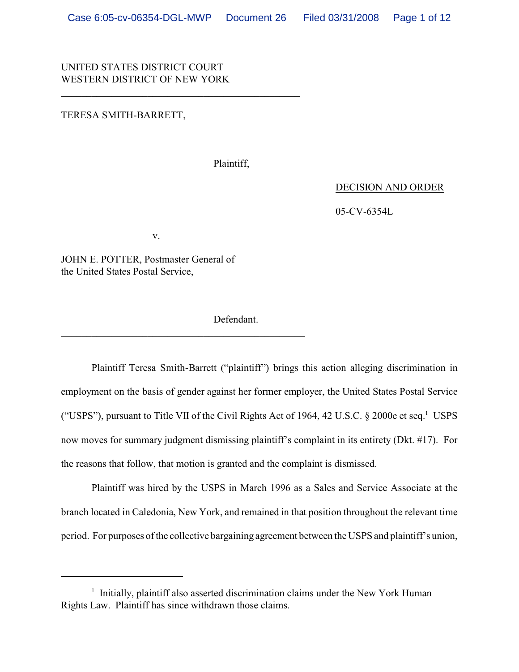# UNITED STATES DISTRICT COURT WESTERN DISTRICT OF NEW YORK

\_\_\_\_\_\_\_\_\_\_\_\_\_\_\_\_\_\_\_\_\_\_\_\_\_\_\_\_\_\_\_\_\_\_\_\_\_\_\_\_\_\_\_\_\_\_\_

### TERESA SMITH-BARRETT,

Plaintiff,

DECISION AND ORDER

05-CV-6354L

v.

 $\mathcal{L}_\mathcal{L} = \{ \mathcal{L}_\mathcal{L} = \{ \mathcal{L}_\mathcal{L} = \{ \mathcal{L}_\mathcal{L} = \{ \mathcal{L}_\mathcal{L} = \{ \mathcal{L}_\mathcal{L} = \{ \mathcal{L}_\mathcal{L} = \{ \mathcal{L}_\mathcal{L} = \{ \mathcal{L}_\mathcal{L} = \{ \mathcal{L}_\mathcal{L} = \{ \mathcal{L}_\mathcal{L} = \{ \mathcal{L}_\mathcal{L} = \{ \mathcal{L}_\mathcal{L} = \{ \mathcal{L}_\mathcal{L} = \{ \mathcal{L}_\mathcal{$ 

JOHN E. POTTER, Postmaster General of the United States Postal Service,

Defendant.

Plaintiff Teresa Smith-Barrett ("plaintiff") brings this action alleging discrimination in employment on the basis of gender against her former employer, the United States Postal Service ("USPS"), pursuant to Title VII of the Civil Rights Act of 1964, 42 U.S.C.  $\S$  2000e et seq.<sup>1</sup> USPS now moves for summary judgment dismissing plaintiff's complaint in its entirety (Dkt. #17). For the reasons that follow, that motion is granted and the complaint is dismissed.

Plaintiff was hired by the USPS in March 1996 as a Sales and Service Associate at the branch located in Caledonia, New York, and remained in that position throughout the relevant time period. For purposes of the collective bargaining agreement between the USPS and plaintiff's union,

 $\frac{1}{1}$  Initially, plaintiff also asserted discrimination claims under the New York Human Rights Law. Plaintiff has since withdrawn those claims.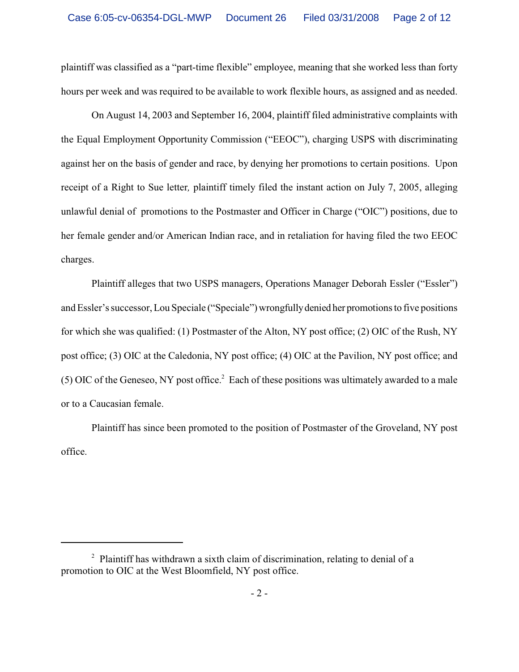plaintiff was classified as a "part-time flexible" employee, meaning that she worked less than forty hours per week and was required to be available to work flexible hours, as assigned and as needed.

On August 14, 2003 and September 16, 2004, plaintiff filed administrative complaints with the Equal Employment Opportunity Commission ("EEOC"), charging USPS with discriminating against her on the basis of gender and race, by denying her promotions to certain positions. Upon receipt of a Right to Sue letter*,* plaintiff timely filed the instant action on July 7, 2005, alleging unlawful denial of promotions to the Postmaster and Officer in Charge ("OIC") positions, due to her female gender and/or American Indian race, and in retaliation for having filed the two EEOC charges.

Plaintiff alleges that two USPS managers, Operations Manager Deborah Essler ("Essler") and Essler's successor, Lou Speciale ("Speciale") wrongfully denied her promotions to five positions for which she was qualified: (1) Postmaster of the Alton, NY post office; (2) OIC of the Rush, NY post office; (3) OIC at the Caledonia, NY post office; (4) OIC at the Pavilion, NY post office; and (5) OIC of the Geneseo, NY post office.<sup>2</sup> Each of these positions was ultimately awarded to a male or to a Caucasian female.

Plaintiff has since been promoted to the position of Postmaster of the Groveland, NY post office.

 $2$  Plaintiff has withdrawn a sixth claim of discrimination, relating to denial of a promotion to OIC at the West Bloomfield, NY post office.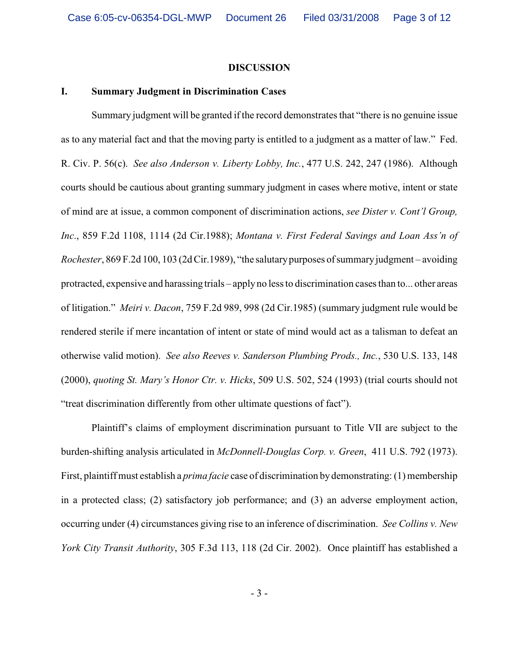### **DISCUSSION**

## **I. Summary Judgment in Discrimination Cases**

Summary judgment will be granted if the record demonstrates that "there is no genuine issue as to any material fact and that the moving party is entitled to a judgment as a matter of law." Fed. R. Civ. P. 56(c). *See also Anderson v. Liberty Lobby, Inc.*, 477 U.S. 242, 247 (1986). Although courts should be cautious about granting summary judgment in cases where motive, intent or state of mind are at issue, a common component of discrimination actions, *see Dister v. Cont'l Group, Inc*., 859 F.2d 1108, 1114 (2d Cir.1988); *Montana v. First Federal Savings and Loan Ass'n of Rochester*, 869 F.2d 100, 103 (2d Cir.1989), "the salutarypurposes of summaryjudgment – avoiding protracted, expensive and harassing trials – apply no less to discrimination cases than to... other areas of litigation." *Meiri v. Dacon*, 759 F.2d 989, 998 (2d Cir.1985) (summary judgment rule would be rendered sterile if mere incantation of intent or state of mind would act as a talisman to defeat an otherwise valid motion). *See also Reeves v. Sanderson Plumbing Prods., Inc.*, 530 U.S. 133, 148 (2000), *quoting St. Mary's Honor Ctr. v. Hicks*, 509 U.S. 502, 524 (1993) (trial courts should not "treat discrimination differently from other ultimate questions of fact").

Plaintiff's claims of employment discrimination pursuant to Title VII are subject to the burden-shifting analysis articulated in *McDonnell-Douglas Corp. v. Green*, 411 U.S. 792 (1973). First, plaintiff must establish a *prima facie* case of discrimination by demonstrating: (1) membership in a protected class; (2) satisfactory job performance; and (3) an adverse employment action, occurring under (4) circumstances giving rise to an inference of discrimination. *See Collins v. New York City Transit Authority*, 305 F.3d 113, 118 (2d Cir. 2002). Once plaintiff has established a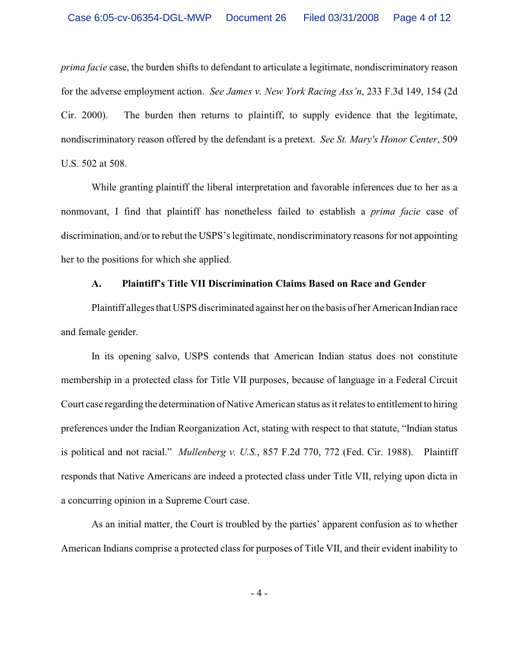*prima facie* case, the burden shifts to defendant to articulate a legitimate, nondiscriminatory reason for the adverse employment action. *See James v. New York Racing Ass'n*, 233 F.3d 149, 154 (2d Cir. 2000). The burden then returns to plaintiff, to supply evidence that the legitimate, nondiscriminatory reason offered by the defendant is a pretext. *See St. Mary's Honor Center*, 509 U.S. 502 at 508.

While granting plaintiff the liberal interpretation and favorable inferences due to her as a nonmovant, I find that plaintiff has nonetheless failed to establish a *prima facie* case of discrimination, and/or to rebut the USPS's legitimate, nondiscriminatory reasons for not appointing her to the positions for which she applied.

### **A. Plaintiff's Title VII Discrimination Claims Based on Race and Gender**

Plaintiff alleges that USPS discriminated against her on the basis of her American Indian race and female gender.

In its opening salvo, USPS contends that American Indian status does not constitute membership in a protected class for Title VII purposes, because of language in a Federal Circuit Court case regarding the determination of Native American status as it relates to entitlement to hiring preferences under the Indian Reorganization Act, stating with respect to that statute, "Indian status is political and not racial." *Mullenberg v. U.S.*, 857 F.2d 770, 772 (Fed. Cir. 1988). Plaintiff responds that Native Americans are indeed a protected class under Title VII, relying upon dicta in a concurring opinion in a Supreme Court case.

As an initial matter, the Court is troubled by the parties' apparent confusion as to whether American Indians comprise a protected class for purposes of Title VII, and their evident inability to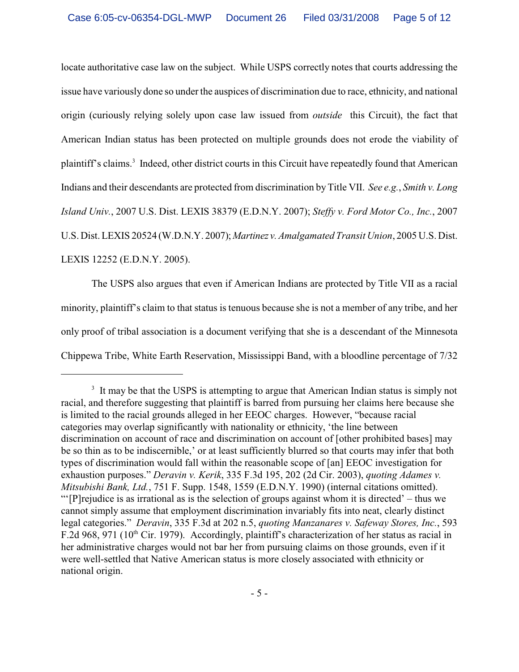locate authoritative case law on the subject. While USPS correctly notes that courts addressing the issue have variously done so under the auspices of discrimination due to race, ethnicity, and national origin (curiously relying solely upon case law issued from *outside* this Circuit), the fact that American Indian status has been protected on multiple grounds does not erode the viability of plaintiff's claims.<sup>3</sup> Indeed, other district courts in this Circuit have repeatedly found that American Indians and their descendants are protected from discrimination byTitle VII. *See e.g.*, *Smith v. Long Island Univ.*, 2007 U.S. Dist. LEXIS 38379 (E.D.N.Y. 2007); *Steffy v. Ford Motor Co., Inc.*, 2007 U.S. Dist. LEXIS 20524 (W.D.N.Y. 2007); *Martinez v. Amalgamated Transit Union*, 2005 U.S. Dist. LEXIS 12252 (E.D.N.Y. 2005).

The USPS also argues that even if American Indians are protected by Title VII as a racial minority, plaintiff's claim to that status is tenuous because she is not a member of any tribe, and her only proof of tribal association is a document verifying that she is a descendant of the Minnesota Chippewa Tribe, White Earth Reservation, Mississippi Band, with a bloodline percentage of 7/32

 $3\,$  It may be that the USPS is attempting to argue that American Indian status is simply not racial, and therefore suggesting that plaintiff is barred from pursuing her claims here because she is limited to the racial grounds alleged in her EEOC charges. However, "because racial categories may overlap significantly with nationality or ethnicity, 'the line between discrimination on account of race and discrimination on account of [other prohibited bases] may be so thin as to be indiscernible,' or at least sufficiently blurred so that courts may infer that both types of discrimination would fall within the reasonable scope of [an] EEOC investigation for exhaustion purposes." *Deravin v. Kerik*, 335 F.3d 195, 202 (2d Cir. 2003), *quoting Adames v. Mitsubishi Bank, Ltd.*, 751 F. Supp. 1548, 1559 (E.D.N.Y. 1990) (internal citations omitted). "'[P]rejudice is as irrational as is the selection of groups against whom it is directed' – thus we cannot simply assume that employment discrimination invariably fits into neat, clearly distinct legal categories." *Deravin*, 335 F.3d at 202 n.5, *quoting Manzanares v. Safeway Stores, Inc.*, 593 F.2d 968, 971 ( $10<sup>th</sup>$  Cir. 1979). Accordingly, plaintiff's characterization of her status as racial in her administrative charges would not bar her from pursuing claims on those grounds, even if it were well-settled that Native American status is more closely associated with ethnicity or national origin.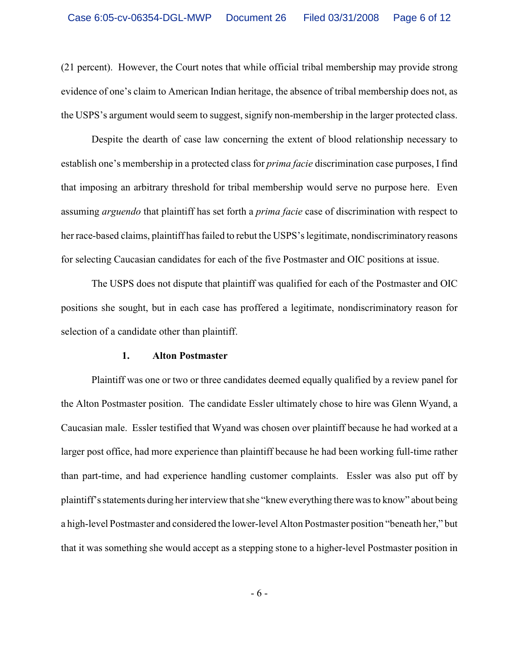(21 percent). However, the Court notes that while official tribal membership may provide strong evidence of one's claim to American Indian heritage, the absence of tribal membership does not, as the USPS's argument would seem to suggest, signify non-membership in the larger protected class.

Despite the dearth of case law concerning the extent of blood relationship necessary to establish one's membership in a protected class for *prima facie* discrimination case purposes, I find that imposing an arbitrary threshold for tribal membership would serve no purpose here. Even assuming *arguendo* that plaintiff has set forth a *prima facie* case of discrimination with respect to her race-based claims, plaintiff has failed to rebut the USPS's legitimate, nondiscriminatory reasons for selecting Caucasian candidates for each of the five Postmaster and OIC positions at issue.

The USPS does not dispute that plaintiff was qualified for each of the Postmaster and OIC positions she sought, but in each case has proffered a legitimate, nondiscriminatory reason for selection of a candidate other than plaintiff.

## **1. Alton Postmaster**

Plaintiff was one or two or three candidates deemed equally qualified by a review panel for the Alton Postmaster position. The candidate Essler ultimately chose to hire was Glenn Wyand, a Caucasian male. Essler testified that Wyand was chosen over plaintiff because he had worked at a larger post office, had more experience than plaintiff because he had been working full-time rather than part-time, and had experience handling customer complaints. Essler was also put off by plaintiff's statements during her interview that she "knew everything there was to know" about being a high-level Postmaster and considered the lower-level Alton Postmaster position "beneath her," but that it was something she would accept as a stepping stone to a higher-level Postmaster position in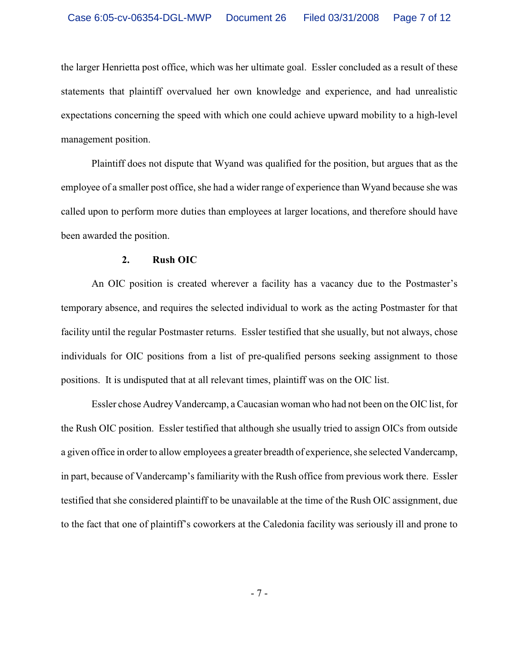the larger Henrietta post office, which was her ultimate goal. Essler concluded as a result of these statements that plaintiff overvalued her own knowledge and experience, and had unrealistic expectations concerning the speed with which one could achieve upward mobility to a high-level management position.

Plaintiff does not dispute that Wyand was qualified for the position, but argues that as the employee of a smaller post office, she had a wider range of experience than Wyand because she was called upon to perform more duties than employees at larger locations, and therefore should have been awarded the position.

## **2. Rush OIC**

An OIC position is created wherever a facility has a vacancy due to the Postmaster's temporary absence, and requires the selected individual to work as the acting Postmaster for that facility until the regular Postmaster returns.Essler testified that she usually, but not always, chose individuals for OIC positions from a list of pre-qualified persons seeking assignment to those positions. It is undisputed that at all relevant times, plaintiff was on the OIC list.

Essler chose Audrey Vandercamp, a Caucasian woman who had not been on the OIC list, for the Rush OIC position. Essler testified that although she usually tried to assign OICs from outside a given office in order to allow employees a greater breadth of experience, she selected Vandercamp, in part, because of Vandercamp's familiarity with the Rush office from previous work there. Essler testified that she considered plaintiff to be unavailable at the time of the Rush OIC assignment, due to the fact that one of plaintiff's coworkers at the Caledonia facility was seriously ill and prone to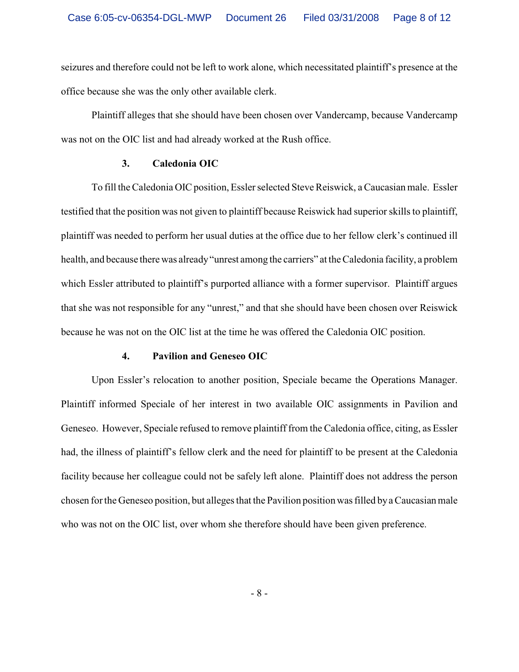seizures and therefore could not be left to work alone, which necessitated plaintiff's presence at the office because she was the only other available clerk.

Plaintiff alleges that she should have been chosen over Vandercamp, because Vandercamp was not on the OIC list and had already worked at the Rush office.

### **3. Caledonia OIC**

To fill the Caledonia OIC position, Essler selected Steve Reiswick, a Caucasian male. Essler testified that the position was not given to plaintiff because Reiswick had superior skills to plaintiff, plaintiff was needed to perform her usual duties at the office due to her fellow clerk's continued ill health, and because there was already "unrest among the carriers" at the Caledonia facility, a problem which Essler attributed to plaintiff's purported alliance with a former supervisor.Plaintiff argues that she was not responsible for any "unrest," and that she should have been chosen over Reiswick because he was not on the OIC list at the time he was offered the Caledonia OIC position.

## **4. Pavilion and Geneseo OIC**

Upon Essler's relocation to another position, Speciale became the Operations Manager. Plaintiff informed Speciale of her interest in two available OIC assignments in Pavilion and Geneseo. However, Speciale refused to remove plaintiff from the Caledonia office, citing, as Essler had, the illness of plaintiff's fellow clerk and the need for plaintiff to be present at the Caledonia facility because her colleague could not be safely left alone. Plaintiff does not address the person chosen forthe Geneseo position, but alleges that the Pavilion position was filled by a Caucasian male who was not on the OIC list, over whom she therefore should have been given preference.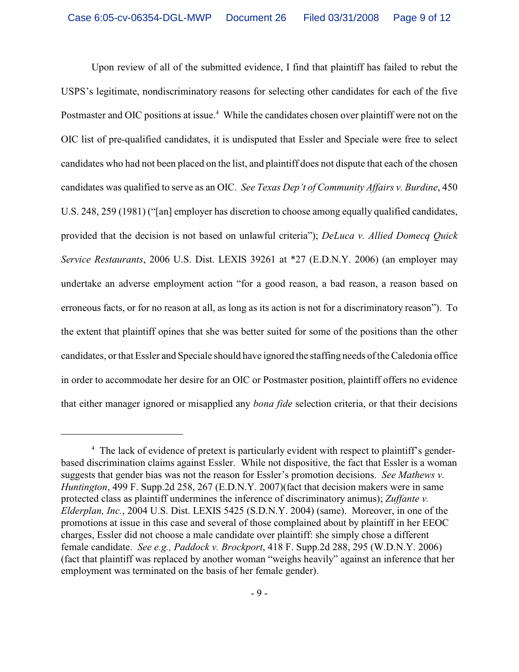Upon review of all of the submitted evidence, I find that plaintiff has failed to rebut the USPS's legitimate, nondiscriminatory reasons for selecting other candidates for each of the five Postmaster and OIC positions at issue.<sup>4</sup> While the candidates chosen over plaintiff were not on the OIC list of pre-qualified candidates, it is undisputed that Essler and Speciale were free to select candidates who had not been placed on the list, and plaintiff does not dispute that each of the chosen candidates was qualified to serve as an OIC. *See Texas Dep't of Community Affairs v. Burdine*, 450 U.S. 248, 259 (1981) ("[an] employer has discretion to choose among equally qualified candidates, provided that the decision is not based on unlawful criteria"); *DeLuca v. Allied Domecq Quick Service Restaurants*, 2006 U.S. Dist. LEXIS 39261 at \*27 (E.D.N.Y. 2006) (an employer may undertake an adverse employment action "for a good reason, a bad reason, a reason based on erroneous facts, or for no reason at all, as long as its action is not for a discriminatory reason"). To the extent that plaintiff opines that she was better suited for some of the positions than the other candidates, or that Essler and Speciale should have ignored the staffing needs of the Caledonia office in order to accommodate her desire for an OIC or Postmaster position, plaintiff offers no evidence that either manager ignored or misapplied any *bona fide* selection criteria, or that their decisions

<sup>&</sup>lt;sup>4</sup> The lack of evidence of pretext is particularly evident with respect to plaintiff's genderbased discrimination claims against Essler. While not dispositive, the fact that Essler is a woman suggests that gender bias was not the reason for Essler's promotion decisions. *See Mathews v. Huntington*, 499 F. Supp.2d 258, 267 (E.D.N.Y. 2007)(fact that decision makers were in same protected class as plaintiff undermines the inference of discriminatory animus); *Zuffante v. Elderplan, Inc.*, 2004 U.S. Dist. LEXIS 5425 (S.D.N.Y. 2004) (same). Moreover, in one of the promotions at issue in this case and several of those complained about by plaintiff in her EEOC charges, Essler did not choose a male candidate over plaintiff: she simply chose a different female candidate. *See e.g., Paddock v. Brockport*, 418 F. Supp.2d 288, 295 (W.D.N.Y. 2006) (fact that plaintiff was replaced by another woman "weighs heavily" against an inference that her employment was terminated on the basis of her female gender).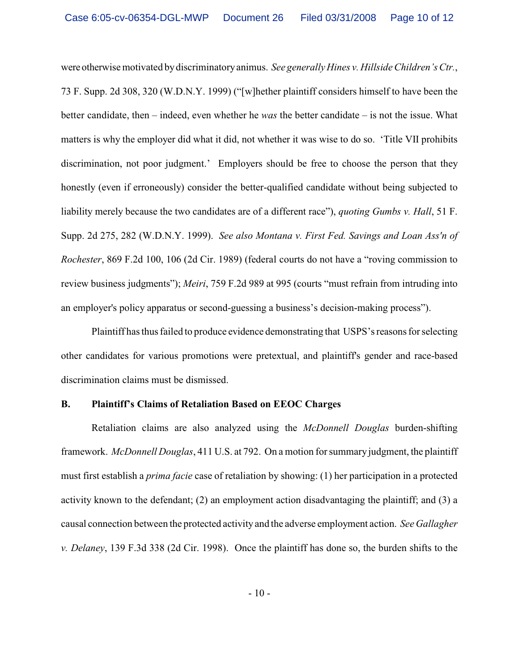were otherwise motivated by discriminatory animus. *See generallyHines v. Hillside Children's Ctr.*, 73 F. Supp. 2d 308, 320 (W.D.N.Y. 1999) ("[w]hether plaintiff considers himself to have been the better candidate, then – indeed, even whether he *was* the better candidate – is not the issue. What matters is why the employer did what it did, not whether it was wise to do so. 'Title VII prohibits discrimination, not poor judgment.' Employers should be free to choose the person that they honestly (even if erroneously) consider the better-qualified candidate without being subjected to liability merely because the two candidates are of a different race"), *quoting Gumbs v. Hall*, 51 F. Supp. 2d 275, 282 (W.D.N.Y. 1999). *See also Montana v. First Fed. Savings and Loan Ass'n of Rochester*, 869 F.2d 100, 106 (2d Cir. 1989) (federal courts do not have a "roving commission to review business judgments"); *Meiri*, 759 F.2d 989 at 995 (courts "must refrain from intruding into an employer's policy apparatus or second-guessing a business's decision-making process").

Plaintiff has thus failed to produce evidence demonstrating that USPS's reasons for selecting other candidates for various promotions were pretextual, and plaintiff's gender and race-based discrimination claims must be dismissed.

# **B. Plaintiff's Claims of Retaliation Based on EEOC Charges**

Retaliation claims are also analyzed using the *McDonnell Douglas* burden-shifting framework. *McDonnell Douglas*, 411 U.S. at 792. On a motion for summary judgment, the plaintiff must first establish a *prima facie* case of retaliation by showing: (1) her participation in a protected activity known to the defendant; (2) an employment action disadvantaging the plaintiff; and (3) a causal connection between the protected activity and the adverse employment action. *See Gallagher v. Delaney*, 139 F.3d 338 (2d Cir. 1998). Once the plaintiff has done so, the burden shifts to the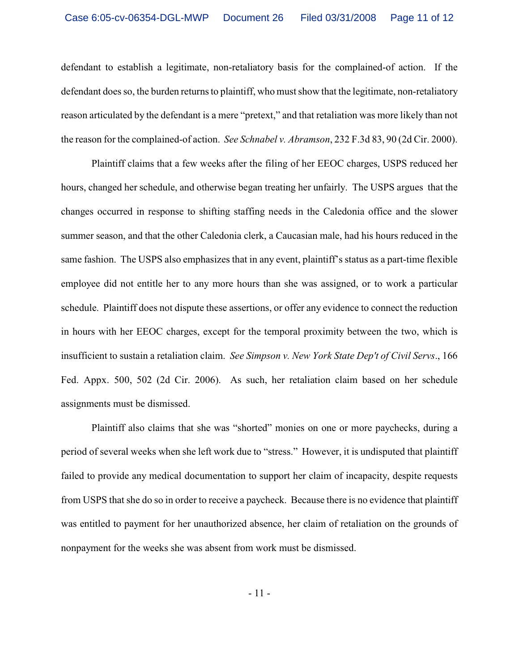defendant to establish a legitimate, non-retaliatory basis for the complained-of action. If the defendant does so, the burden returns to plaintiff, who must show that the legitimate, non-retaliatory reason articulated by the defendant is a mere "pretext," and that retaliation was more likely than not the reason for the complained-of action. *See Schnabel v. Abramson*, 232 F.3d 83, 90 (2d Cir. 2000).

Plaintiff claims that a few weeks after the filing of her EEOC charges, USPS reduced her hours, changed her schedule, and otherwise began treating her unfairly. The USPS argues that the changes occurred in response to shifting staffing needs in the Caledonia office and the slower summer season, and that the other Caledonia clerk, a Caucasian male, had his hours reduced in the same fashion. The USPS also emphasizes that in any event, plaintiff's status as a part-time flexible employee did not entitle her to any more hours than she was assigned, or to work a particular schedule. Plaintiff does not dispute these assertions, or offer any evidence to connect the reduction in hours with her EEOC charges, except for the temporal proximity between the two, which is insufficient to sustain a retaliation claim. *See Simpson v. New York State Dep't of Civil Servs*., 166 Fed. Appx. 500, 502 (2d Cir. 2006). As such, her retaliation claim based on her schedule assignments must be dismissed.

Plaintiff also claims that she was "shorted" monies on one or more paychecks, during a period of several weeks when she left work due to "stress." However, it is undisputed that plaintiff failed to provide any medical documentation to support her claim of incapacity, despite requests from USPS that she do so in order to receive a paycheck. Because there is no evidence that plaintiff was entitled to payment for her unauthorized absence, her claim of retaliation on the grounds of nonpayment for the weeks she was absent from work must be dismissed.